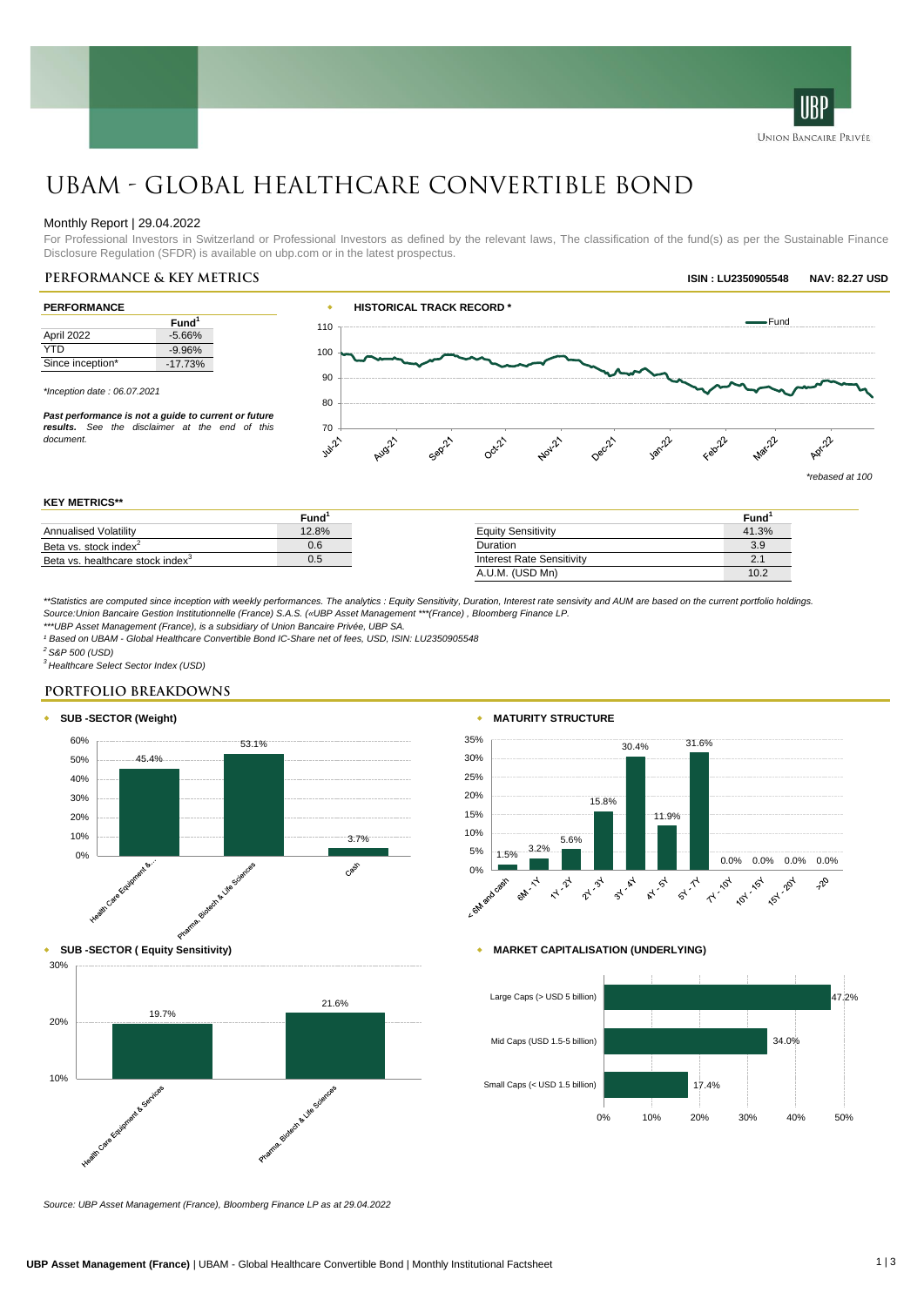

### Monthly Report | 29.04.2022

For Professional Investors in Switzerland or Professional Investors as defined by the relevant laws, The classification of the fund(s) as per the Sustainable Finance Disclosure Regulation (SFDR) is available on ubp.com or in the latest prospectus.

| Fund <sup>1</sup> |  |
|-------------------|--|
|                   |  |
| $-5.66%$          |  |
| $-9.96%$          |  |
| $-17.73%$         |  |
|                   |  |

*\*Inception date : 06.07.2021*

*Past performance is not a guide to current or future results. See the disclaimer at the end of this document.*



**IRP UNION BANCAIRE PRIVÉE** 

### **KEY METRICS\*\***

|                                              | Fund  |                           | Fund         |
|----------------------------------------------|-------|---------------------------|--------------|
| Annualised Volatility                        | 12.8% | <b>Equity Sensitivity</b> | 41.3%        |
| Beta vs. stock index <sup>2</sup>            | U.6   | Duration                  | 3.9          |
| Beta vs. healthcare stock index <sup>3</sup> | U.5   | Interest Rate Sensitivity | $\mathbf{r}$ |
|                                              |       | A.U.M. (USD Mn)           | 10.2         |

*\*\*Statistics are computed since inception with weekly performances. The analytics : Equity Sensitivity, Duration, Interest rate sensivity and AUM are based on the current portfolio holdings. Source:Union Bancaire Gestion Institutionnelle (France) S.A.S. («UBP Asset Management \*\*\*(France) , Bloomberg Finance LP.*

*\*\*\*UBP Asset Management (France), is a subsidiary of Union Bancaire Privée, UBP SA.*

*¹ Based on UBAM - Global Healthcare Convertible Bond IC-Share net of fees, USD, ISIN: LU2350905548*

*<sup>2</sup> S&P 500 (USD)*

30%

*<sup>3</sup> Healthcare Select Sector Index (USD)*

### **PORTFOLIO BREAKDOWNS**











*Source: UBP Asset Management (France), Bloomberg Finance LP as at 29.04.2022*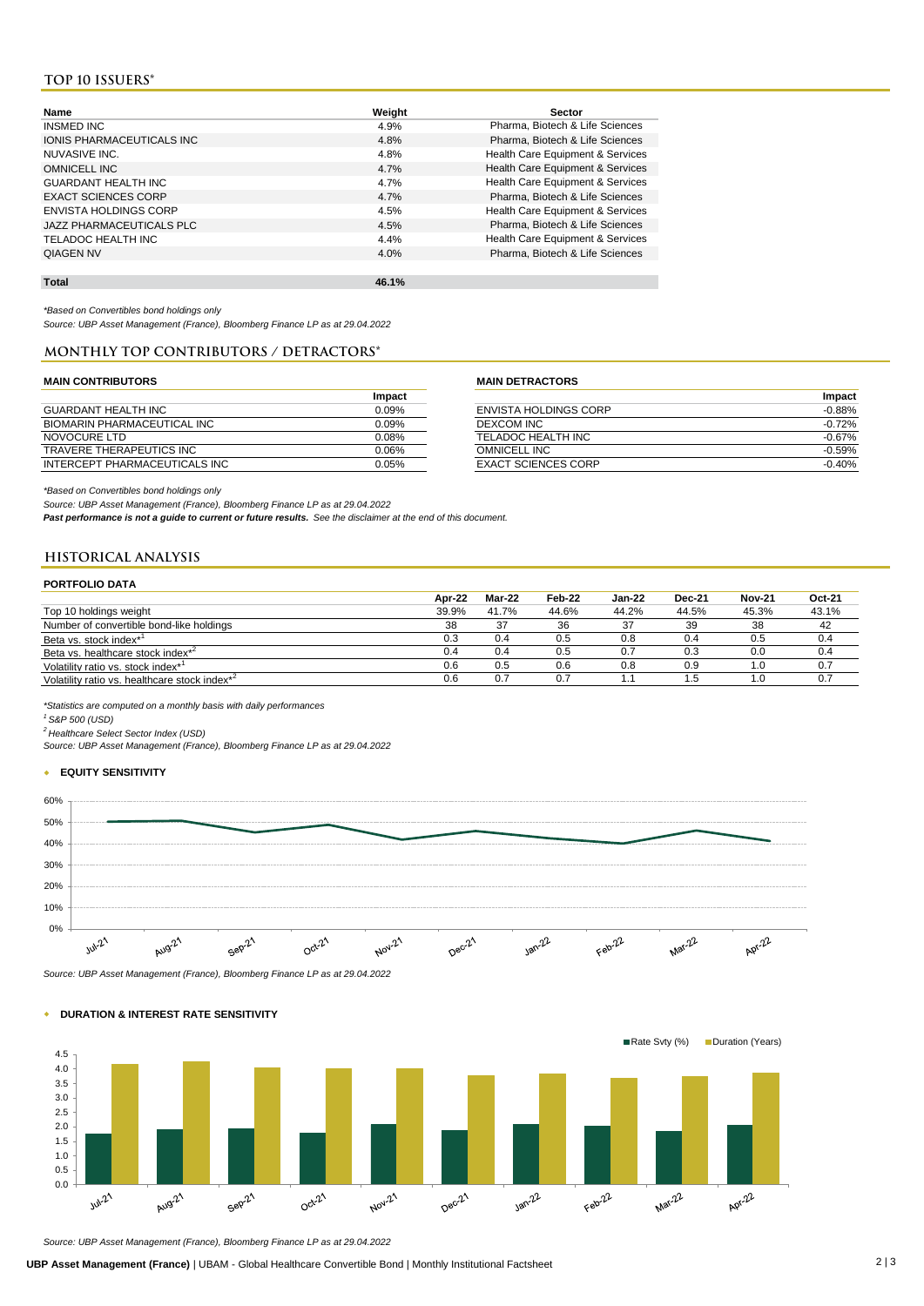# **TOP 10 ISSUERS\***

| Name                         | Weight | Sector                           |
|------------------------------|--------|----------------------------------|
| INSMED INC                   | 4.9%   | Pharma, Biotech & Life Sciences  |
| IONIS PHARMACEUTICALS INC    | 4.8%   | Pharma, Biotech & Life Sciences  |
| NUVASIVE INC.                | 4.8%   | Health Care Equipment & Services |
| <b>OMNICELL INC</b>          | 4.7%   | Health Care Equipment & Services |
| <b>GUARDANT HEALTH INC</b>   | 4.7%   | Health Care Equipment & Services |
| <b>EXACT SCIENCES CORP</b>   | 4.7%   | Pharma, Biotech & Life Sciences  |
| <b>ENVISTA HOLDINGS CORP</b> | 4.5%   | Health Care Equipment & Services |
| JAZZ PHARMACEUTICALS PLC     | 4.5%   | Pharma, Biotech & Life Sciences  |
| TELADOC HEALTH INC           | 4.4%   | Health Care Equipment & Services |
| <b>QIAGEN NV</b>             | 4.0%   | Pharma, Biotech & Life Sciences  |
|                              |        |                                  |

*\*Based on Convertibles bond holdings only*

*Source: UBP Asset Management (France), Bloomberg Finance LP as at 29.04.2022*

**Total 46.1%**

## **Monthly top contributors / detractors\***

### **MAIN CONTRIBUTORS MAIN DETRACTORS**

|                                 | Impact   |                            | <b>Impact</b> |
|---------------------------------|----------|----------------------------|---------------|
| GUARDANT HEALTH INC             | 0.09%    | ENVISTA HOLDINGS CORP      | $-0.88%$      |
| BIOMARIN PHARMACEUTICAL INC     | 0.09%    | DEXCOM INC                 | $-0.72%$      |
| NOVOCURE LTD                    | $0.08\%$ | TELADOC HEALTH INC         | $-0.67%$      |
| <b>TRAVERE THERAPEUTICS INC</b> | 0.06%    | <b>OMNICELL INC</b>        | -0.59%        |
| INTERCEPT PHARMACEUTICALS INC   | 0.05%    | <b>EXACT SCIENCES CORP</b> | $-0.40%$      |

|                               | Impact   |                            | Impact   |
|-------------------------------|----------|----------------------------|----------|
| GUARDANT HEALTH INC           | 0.09%    | ENVISTA HOLDINGS CORP      | $-0.88%$ |
| BIOMARIN PHARMACEUTICAL INC   | 0.09%    | DEXCOM INC                 | $-0.72%$ |
| NOVOCURE LTD                  | $0.08\%$ | TELADOC HEALTH INC         | -0.67%   |
| TRAVERE THERAPEUTICS INC      | 0.06%    | OMNICELL INC               | $-0.59%$ |
| INTERCEPT PHARMACEUTICALS INC | $0.05\%$ | <b>EXACT SCIENCES CORP</b> | $-0.40%$ |

*\*Based on Convertibles bond holdings only*

*Source: UBP Asset Management (France), Bloomberg Finance LP as at 29.04.2022*

*Past performance is not a guide to current or future results. See the disclaimer at the end of this document.*

# **HISTORICAL ANALYSIS**

| <b>PORTFOLIO DATA</b>                                     |        |        |        |               |               |               |        |
|-----------------------------------------------------------|--------|--------|--------|---------------|---------------|---------------|--------|
|                                                           | Apr-22 | Mar-22 | Feb-22 | <b>Jan-22</b> | <b>Dec-21</b> | <b>Nov-21</b> | Oct-21 |
| Top 10 holdings weight                                    | 39.9%  | 41.7%  | 44.6%  | 44.2%         | 44.5%         | 45.3%         | 43.1%  |
| Number of convertible bond-like holdings                  | 38     | 37     | 36     | 37            | 39            | 38            | 42     |
| Beta vs. stock index* <sup>1</sup>                        | 0.3    | 0.4    | 0.5    | 0.8           | 0.4           | 0.5           | 0.4    |
| Beta vs. healthcare stock index <sup>*2</sup>             | 0.4    | 0.4    | 0.5    | 0.7           | 0.3           | 0.0           | 0.4    |
| Volatility ratio vs. stock index <sup>*1</sup>            | 0.6    | 0.5    | 0.6    | 0.8           | 0.9           | 1.0           | 0.7    |
| Volatility ratio vs. healthcare stock index <sup>*2</sup> | 0.6    | 0.7    | 0.7    |               | 1.5           | 1.0           | 0.7    |

*\*Statistics are computed on a monthly basis with daily performances*

*<sup>1</sup> S&P 500 (USD)*

*<sup>2</sup> Healthcare Select Sector Index (USD)*

*Source: UBP Asset Management (France), Bloomberg Finance LP as at 29.04.2022*

## w **EQUITY SENSITIVITY**



*Source: UBP Asset Management (France), Bloomberg Finance LP as at 29.04.2022*



# w **DURATION & INTEREST RATE SENSITIVITY**

*Source: UBP Asset Management (France), Bloomberg Finance LP as at 29.04.2022*

**UBP Asset Management (France)** | UBAM - Global Healthcare Convertible Bond | Monthly Institutional Factsheet 2 | 3